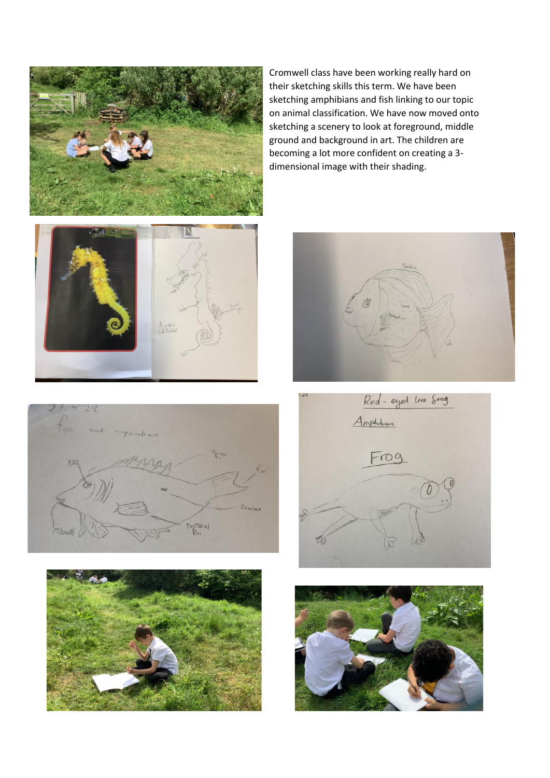

Cromwell class have been working really hard on their sketching skills this term. We have been sketching amphibians and fish linking to our topic on animal classification. We have now moved onto sketching a scenery to look at foreground, middle ground and background in art. The children are becoming a lot more confident on creating a 3 dimensional image with their shading.











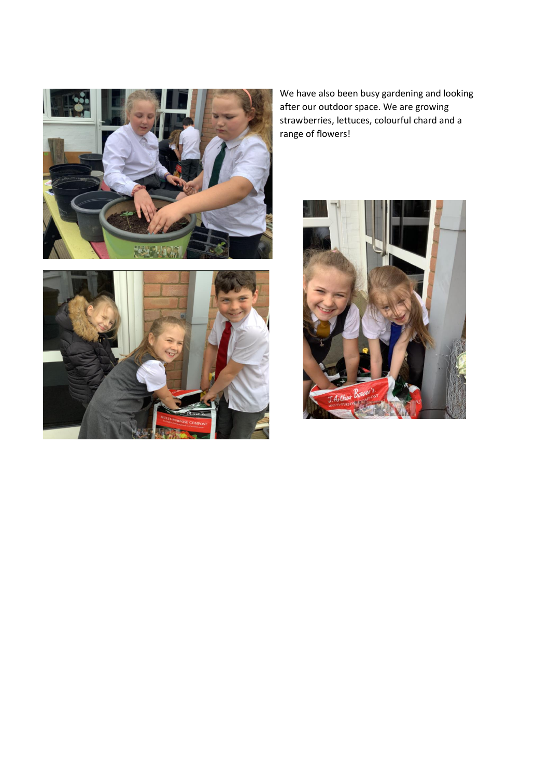



We have also been busy gardening and looking after our outdoor space. We are growing strawberries, lettuces, colourful chard and a range of flowers!

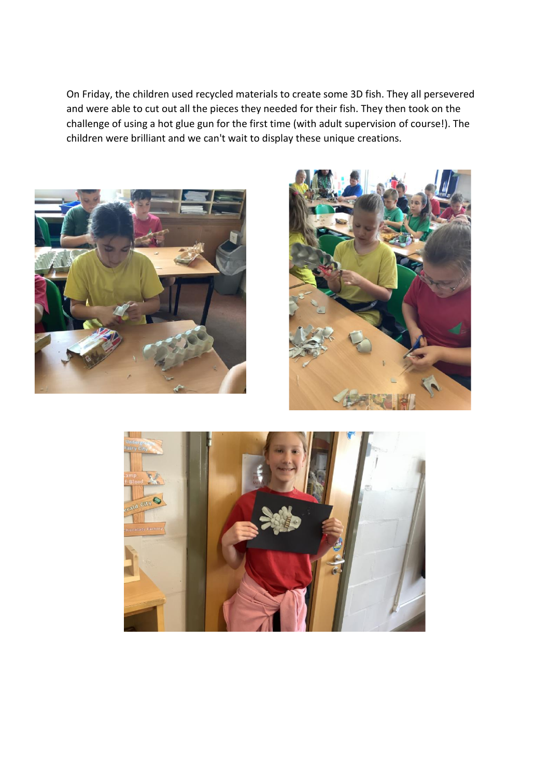On Friday, the children used recycled materials to create some 3D fish. They all persevered and were able to cut out all the pieces they needed for their fish. They then took on the challenge of using a hot glue gun for the first time (with adult supervision of course!). The children were brilliant and we can't wait to display these unique creations.